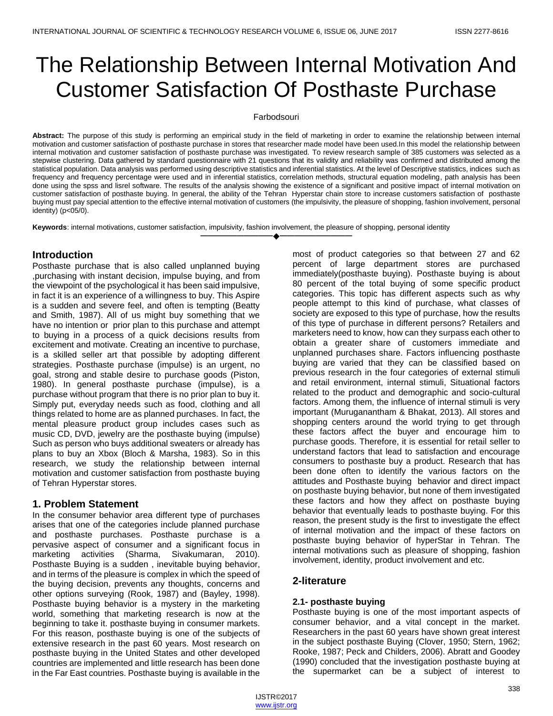# The Relationship Between Internal Motivation And Customer Satisfaction Of Posthaste Purchase

#### Farbodsouri

**Abstract:** The purpose of this study is performing an empirical study in the field of marketing in order to examine the relationship between internal motivation and customer satisfaction of posthaste purchase in stores that researcher made model have been used.In this model the relationship between internal motivation and customer satisfaction of posthaste purchase was investigated. To review research sample of 385 customers was selected as a stepwise clustering. Data gathered by standard questionnaire with 21 questions that its validity and reliability was confirmed and distributed among the statistical population. Data analysis was performed using descriptive statistics and inferential statistics. At the level of Descriptive statistics, indices such as frequency and frequency percentage were used and in inferential statistics, correlation methods, structural equation modeling, path analysis has been done using the spss and lisrel software. The results of the analysis showing the existence of a significant and positive impact of internal motivation on customer satisfaction of posthaste buying. In general, the ability of the Tehran Hyperstar chain store to increase customers satisfaction of posthaste buying must pay special attention to the effective internal motivation of customers (the impulsivity, the pleasure of shopping, fashion involvement, personal identity) (p<05/0).

**————————————————————**

**Keywords**: internal motivations, customer satisfaction, impulsivity, fashion involvement, the pleasure of shopping, personal identity

# **Introduction**

Posthaste purchase that is also called unplanned buying ,purchasing with instant decision, impulse buying, and from the viewpoint of the psychological it has been said impulsive, in fact it is an experience of a willingness to buy. This Aspire is a sudden and severe feel, and often is tempting (Beatty and Smith, 1987). All of us might buy something that we have no intention or prior plan to this purchase and attempt to buying in a process of a quick decisions results from excitement and motivate. Creating an incentive to purchase, is a skilled seller art that possible by adopting different strategies. Posthaste purchase (impulse) is an urgent, no goal, strong and stable desire to purchase goods (Piston, 1980). In general posthaste purchase (impulse), is a purchase without program that there is no prior plan to buy it. Simply put, everyday needs such as food, clothing and all things related to home are as planned purchases. In fact, the mental pleasure product group includes cases such as music CD, DVD, jewelry are the posthaste buying (impulse) Such as person who buys additional sweaters or already has plans to buy an Xbox (Bloch & Marsha, 1983). So in this research, we study the relationship between internal motivation and customer satisfaction from posthaste buying of Tehran Hyperstar stores.

# **1. Problem Statement**

In the consumer behavior area different type of purchases arises that one of the categories include planned purchase and posthaste purchases. Posthaste purchase is a pervasive aspect of consumer and a significant focus in marketing activities (Sharma, Sivakumaran, 2010). Posthaste Buying is a sudden , inevitable buying behavior, and in terms of the pleasure is complex in which the speed of the buying decision, prevents any thoughts, concerns and other options surveying (Rook, 1987) and (Bayley, 1998). Posthaste buying behavior is a mystery in the marketing world, something that marketing research is now at the beginning to take it. posthaste buying in consumer markets. For this reason, posthaste buying is one of the subjects of extensive research in the past 60 years. Most research on posthaste buying in the United States and other developed countries are implemented and little research has been done in the Far East countries. Posthaste buying is available in the most of product categories so that between 27 and 62 percent of large department stores are purchased immediately(posthaste buying). Posthaste buying is about 80 percent of the total buying of some specific product categories. This topic has different aspects such as why people attempt to this kind of purchase, what classes of society are exposed to this type of purchase, how the results of this type of purchase in different persons? Retailers and marketers need to know, how can they surpass each other to obtain a greater share of customers immediate and unplanned purchases share. Factors influencing posthaste buying are varied that they can be classified based on previous research in the four categories of external stimuli and retail environment, internal stimuli, Situational factors related to the product and demographic and socio-cultural factors. Among them, the influence of internal stimuli is very important (Muruganantham & Bhakat, 2013). All stores and shopping centers around the world trying to get through these factors affect the buyer and encourage him to purchase goods. Therefore, it is essential for retail seller to understand factors that lead to satisfaction and encourage consumers to posthaste buy a product. Research that has been done often to identify the various factors on the attitudes and Posthaste buying behavior and direct impact on posthaste buying behavior, but none of them investigated these factors and how they affect on posthaste buying behavior that eventually leads to posthaste buying. For this reason, the present study is the first to investigate the effect of internal motivation and the impact of these factors on posthaste buying behavior of hyperStar in Tehran. The internal motivations such as pleasure of shopping, fashion involvement, identity, product involvement and etc.

# **2-literature**

# **2.1- posthaste buying**

Posthaste buying is one of the most important aspects of consumer behavior, and a vital concept in the market. Researchers in the past 60 years have shown great interest in the subject posthaste Buying (Clover, 1950; Stern, 1962; Rooke, 1987; Peck and Childers, 2006). Abratt and Goodey (1990) concluded that the investigation posthaste buying at the supermarket can be a subject of interest to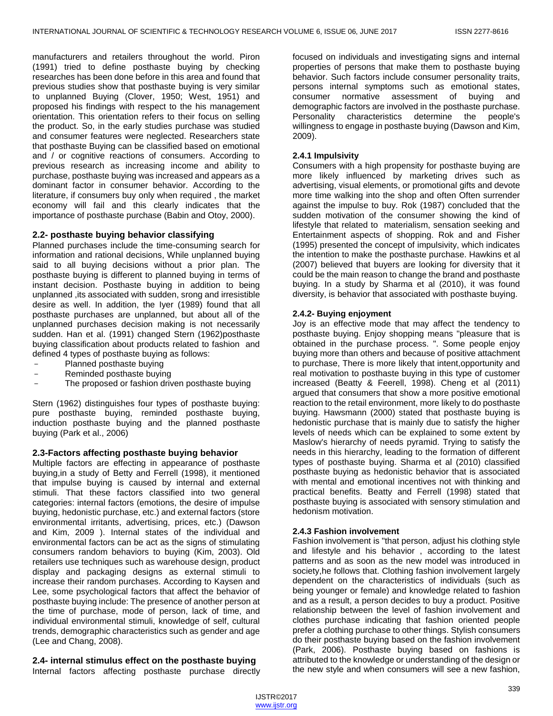manufacturers and retailers throughout the world. Piron (1991) tried to define posthaste buying by checking researches has been done before in this area and found that previous studies show that posthaste buying is very similar to unplanned Buying (Clover, 1950; West, 1951) and proposed his findings with respect to the his management orientation. This orientation refers to their focus on selling the product. So, in the early studies purchase was studied and consumer features were neglected. Researchers state that posthaste Buying can be classified based on emotional and / or cognitive reactions of consumers. According to previous research as increasing income and ability to purchase, posthaste buying was increased and appears as a dominant factor in consumer behavior. According to the literature, if consumers buy only when required , the market economy will fail and this clearly indicates that the importance of posthaste purchase (Babin and Otoy, 2000).

# **2.2- posthaste buying behavior classifying**

Planned purchases include the time-consuming search for information and rational decisions, While unplanned buying said to all buying decisions without a prior plan. The posthaste buying is different to planned buying in terms of instant decision. Posthaste buying in addition to being unplanned ,its associated with sudden, srong and irresistible desire as well. In addition, the Iyer (1989) found that all posthaste purchases are unplanned, but about all of the unplanned purchases decision making is not necessarily sudden. Han et al. (1991) changed Stern (1962)posthaste buying classification about products related to fashion and defined 4 types of posthaste buying as follows:

- Planned posthaste buying
- Reminded posthaste buying
- The proposed or fashion driven posthaste buying

Stern (1962) distinguishes four types of posthaste buying: pure posthaste buying, reminded posthaste buying, induction posthaste buying and the planned posthaste buying (Park et al., 2006)

# **2.3-Factors affecting posthaste buying behavior**

Multiple factors are effecting in appearance of posthaste buying,in a study of Betty and Ferrell (1998), it mentioned that impulse buying is caused by internal and external stimuli. That these factors classified into two general categories: internal factors (emotions, the desire of impulse buying, hedonistic purchase, etc.) and external factors (store environmental irritants, advertising, prices, etc.) (Dawson and Kim, 2009 ). Internal states of the individual and environmental factors can be act as the signs of stimulating consumers random behaviors to buying (Kim, 2003). Old retailers use techniques such as warehouse design, product display and packaging designs as external stimuli to increase their random purchases. According to Kaysen and Lee, some psychological factors that affect the behavior of posthaste buying include: The presence of another person at the time of purchase, mode of person, lack of time, and individual environmental stimuli, knowledge of self, cultural trends, demographic characteristics such as gender and age (Lee and Chang, 2008).

# **2.4- internal stimulus effect on the posthaste buying**

Internal factors affecting posthaste purchase directly

focused on individuals and investigating signs and internal properties of persons that make them to posthaste buying behavior. Such factors include consumer personality traits, persons internal symptoms such as emotional states, consumer normative assessment of buying and demographic factors are involved in the posthaste purchase. Personality characteristics determine the people's willingness to engage in posthaste buying (Dawson and Kim, 2009).

#### **2.4.1 Impulsivity**

Consumers with a high propensity for posthaste buying are more likely influenced by marketing drives such as advertising, visual elements, or promotional gifts and devote more time walking into the shop and often Often surrender against the impulse to buy. Rok (1987) concluded that the sudden motivation of the consumer showing the kind of lifestyle that related to materialism, sensation seeking and Entertainment aspects of shopping. Rok and and Fisher (1995) presented the concept of impulsivity, which indicates the intention to make the posthaste purchase. Hawkins et al (2007) believed that buyers are looking for diversity that it could be the main reason to change the brand and posthaste buying. In a study by Sharma et al (2010), it was found diversity, is behavior that associated with posthaste buying.

# **2.4.2- Buying enjoyment**

Joy is an effective mode that may affect the tendency to posthaste buying. Enjoy shopping means "pleasure that is obtained in the purchase process. ". Some people enjoy buying more than others and because of positive attachment to purchase, There is more likely that intent,opportunity and real motivation to posthaste buying in this type of customer increased (Beatty & Feerell, 1998). Cheng et al (2011) argued that consumers that show a more positive emotional reaction to the retail environment, more likely to do posthaste buying. Hawsmann (2000) stated that posthaste buying is hedonistic purchase that is mainly due to satisfy the higher levels of needs which can be explained to some extent by Maslow's hierarchy of needs pyramid. Trying to satisfy the needs in this hierarchy, leading to the formation of different types of posthaste buying. Sharma et al (2010) classified posthaste buying as hedonistic behavior that is associated with mental and emotional incentives not with thinking and practical benefits. Beatty and Ferrell (1998) stated that posthaste buying is associated with sensory stimulation and hedonism motivation.

#### **2.4.3 Fashion involvement**

Fashion involvement is "that person, adjust his clothing style and lifestyle and his behavior , according to the latest patterns and as soon as the new model was introduced in society,he follows that. Clothing fashion involvement largely dependent on the characteristics of individuals (such as being younger or female) and knowledge related to fashion and as a result, a person decides to buy a product. Positive relationship between the level of fashion involvement and clothes purchase indicating that fashion oriented people prefer a clothing purchase to other things. Stylish consumers do their posthaste buying based on the fashion involvement (Park, 2006). Posthaste buying based on fashions is attributed to the knowledge or understanding of the design or the new style and when consumers will see a new fashion,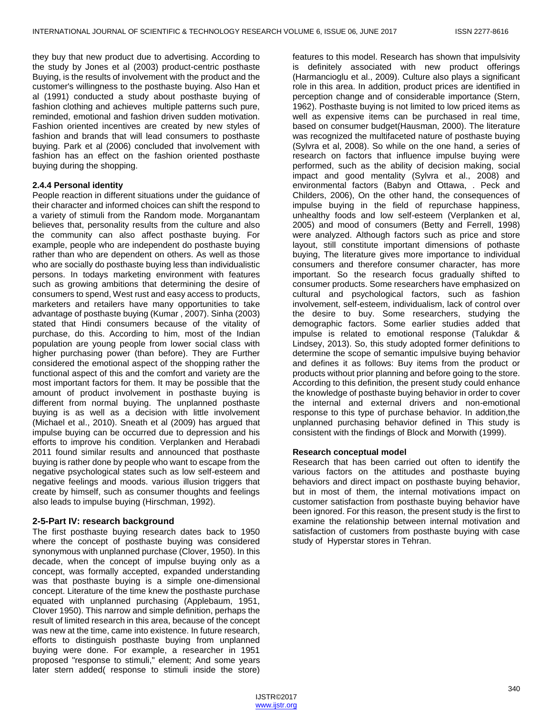they buy that new product due to advertising. According to the study by Jones et al (2003) product-centric posthaste Buying, is the results of involvement with the product and the customer's willingness to the posthaste buying. Also Han et al (1991) conducted a study about posthaste buying of fashion clothing and achieves multiple patterns such pure, reminded, emotional and fashion driven sudden motivation. Fashion oriented incentives are created by new styles of fashion and brands that will lead consumers to posthaste buying. Park et al (2006) concluded that involvement with fashion has an effect on the fashion oriented posthaste buying during the shopping.

# **2.4.4 Personal identity**

People reaction in different situations under the guidance of their character and informed choices can shift the respond to a variety of stimuli from the Random mode. Morganantam believes that, personality results from the culture and also the community can also affect posthaste buying. For example, people who are independent do posthaste buying rather than who are dependent on others. As well as those who are socially do posthaste buying less than individualistic persons. In todays marketing environment with features such as growing ambitions that determining the desire of consumers to spend, West rust and easy access to products, marketers and retailers have many opportunities to take advantage of posthaste buying (Kumar , 2007). Sinha (2003) stated that Hindi consumers because of the vitality of purchase, do this. According to him, most of the Indian population are young people from lower social class with higher purchasing power (than before). They are Further considered the emotional aspect of the shopping rather the functional aspect of this and the comfort and variety are the most important factors for them. It may be possible that the amount of product involvement in posthaste buying is different from normal buying. The unplanned posthaste buying is as well as a decision with little involvement (Michael et al., 2010). Sneath et al (2009) has argued that impulse buying can be occurred due to depression and his efforts to improve his condition. Verplanken and Herabadi 2011 found similar results and announced that posthaste buying is rather done by people who want to escape from the negative psychological states such as low self-esteem and negative feelings and moods. various illusion triggers that create by himself, such as consumer thoughts and feelings also leads to impulse buying (Hirschman, 1992).

# **2-5-Part IV: research background**

The first posthaste buying research dates back to 1950 where the concept of posthaste buying was considered synonymous with unplanned purchase (Clover, 1950). In this decade, when the concept of impulse buying only as a concept, was formally accepted, expanded understanding was that posthaste buying is a simple one-dimensional concept. Literature of the time knew the posthaste purchase equated with unplanned purchasing (Applebaum, 1951, Clover 1950). This narrow and simple definition, perhaps the result of limited research in this area, because of the concept was new at the time, came into existence. In future research, efforts to distinguish posthaste buying from unplanned buying were done. For example, a researcher in 1951 proposed "response to stimuli," element; And some years later stern added( response to stimuli inside the store)

features to this model. Research has shown that impulsivity is definitely associated with new product offerings (Harmancioglu et al., 2009). Culture also plays a significant role in this area. In addition, product prices are identified in perception change and of considerable importance (Stern, 1962). Posthaste buying is not limited to low priced items as well as expensive items can be purchased in real time, based on consumer budget(Hausman, 2000). The literature was recognized the multifaceted nature of posthaste buving (Sylvra et al, 2008). So while on the one hand, a series of research on factors that influence impulse buying were performed, such as the ability of decision making, social impact and good mentality (Sylvra et al., 2008) and environmental factors (Babyn and Ottawa, . Peck and Childers, 2006), On the other hand, the consequences of impulse buying in the field of repurchase happiness, unhealthy foods and low self-esteem (Verplanken et al, 2005) and mood of consumers (Betty and Ferrell, 1998) were analyzed. Although factors such as price and store layout, still constitute important dimensions of pothaste buying, The literature gives more importance to individual consumers and therefore consumer character, has more important. So the research focus gradually shifted to consumer products. Some researchers have emphasized on cultural and psychological factors, such as fashion involvement, self-esteem, individualism, lack of control over the desire to buy. Some researchers, studying the demographic factors. Some earlier studies added that impulse is related to emotional response (Talukdar & Lindsey, 2013). So, this study adopted former definitions to determine the scope of semantic impulsive buying behavior and defines it as follows: Buy items from the product or products without prior planning and before going to the store. According to this definition, the present study could enhance the knowledge of posthaste buying behavior in order to cover the internal and external drivers and non-emotional response to this type of purchase behavior. In addition,the unplanned purchasing behavior defined in This study is consistent with the findings of Block and Morwith (1999).

# **Research conceptual model**

Research that has been carried out often to identify the various factors on the attitudes and posthaste buying behaviors and direct impact on posthaste buying behavior, but in most of them, the internal motivations impact on customer satisfaction from posthaste buying behavior have been ignored. For this reason, the present study is the first to examine the relationship between internal motivation and satisfaction of customers from posthaste buying with case study of Hyperstar stores in Tehran.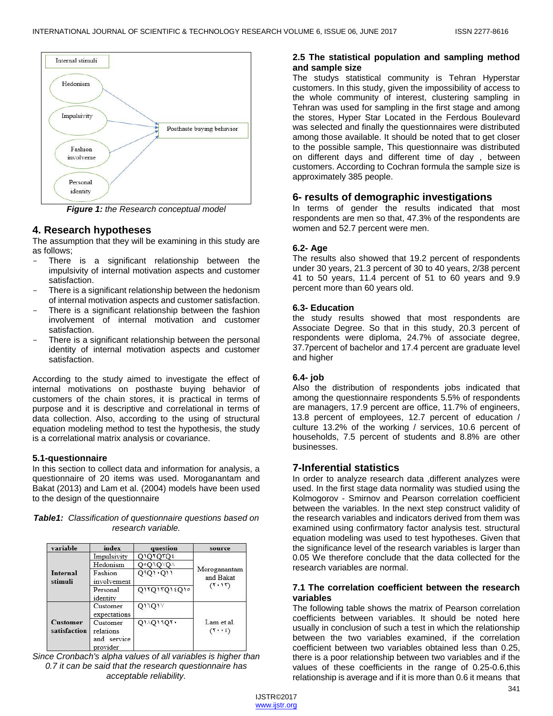

*Figure 1: the Research conceptual model*

# **4. Research hypotheses**

The assumption that they will be examining in this study are as follows;

- There is a significant relationship between the impulsivity of internal motivation aspects and customer satisfaction.
- There is a significant relationship between the hedonism of internal motivation aspects and customer satisfaction.
- There is a significant relationship between the fashion involvement of internal motivation and customer satisfaction.
- There is a significant relationship between the personal identity of internal motivation aspects and customer satisfaction.

According to the study aimed to investigate the effect of internal motivations on posthaste buying behavior of customers of the chain stores, it is practical in terms of purpose and it is descriptive and correlational in terms of data collection. Also, according to the using of structural equation modeling method to test the hypothesis, the study is a correlational matrix analysis or covariance.

# **5.1-questionnaire**

In this section to collect data and information for analysis, a questionnaire of 20 items was used. Moroganantam and Bakat (2013) and Lam et al. (2004) models have been used to the design of the questionnaire

*Table1: Classification of questionnaire questions based on research variable.*

| variable                        | index                                               | question                         | source                                   |  |
|---------------------------------|-----------------------------------------------------|----------------------------------|------------------------------------------|--|
| <b>Internal</b><br>stimuli      | Impulsivity                                         | $Q$ $Q$ $TQ$ $TQ$ $\epsilon$     |                                          |  |
|                                 | Hedonism                                            | 0°010°0                          |                                          |  |
|                                 | Fashion<br>involvement                              | $Q_1Q_1 \cdot Q_1$               | Moroganantam<br>and Bakat<br>$(T+1T)$    |  |
|                                 | Personal<br>identity                                | Q1TQ1TQ12Q10                     |                                          |  |
| <b>Customer</b><br>satisfaction | Customer<br>expectations                            | Q11Q1Y                           | Lam et al.<br>$(T \cdot \cdot \epsilon)$ |  |
|                                 | Customer<br>relations<br>service<br>and<br>provider | $Q1 \wedge Q1$ <sup>4</sup> $Q5$ |                                          |  |

*Since Cronbach's alpha values of all variables is higher than 0.7 it can be said that the research questionnaire has acceptable reliability.*

# **2.5 The statistical population and sampling method and sample size**

The studys statistical community is Tehran Hyperstar customers. In this study, given the impossibility of access to the whole community of interest, clustering sampling in Tehran was used for sampling in the first stage and among the stores, Hyper Star Located in the Ferdous Boulevard was selected and finally the questionnaires were distributed among those available. It should be noted that to get closer to the possible sample, This questionnaire was distributed on different days and different time of day , between customers. According to Cochran formula the sample size is approximately 385 people.

# **6- results of demographic investigations**

In terms of gender the results indicated that most respondents are men so that, 47.3% of the respondents are women and 52.7 percent were men.

# **6.2- Age**

The results also showed that 19.2 percent of respondents under 30 years, 21.3 percent of 30 to 40 years, 2/38 percent 41 to 50 years, 11.4 percent of 51 to 60 years and 9.9 percent more than 60 years old.

# **6.3- Education**

the study results showed that most respondents are Associate Degree. So that in this study, 20.3 percent of respondents were diploma, 24.7% of associate degree, 37.7percent of bachelor and 17.4 percent are graduate level and higher

# **6.4- job**

Also the distribution of respondents jobs indicated that among the questionnaire respondents 5.5% of respondents are managers, 17.9 percent are office, 11.7% of engineers, 13.8 percent of employees, 12.7 percent of education / culture 13.2% of the working / services, 10.6 percent of households, 7.5 percent of students and 8.8% are other businesses.

# **7-Inferential statistics**

In order to analyze research data ,different analyzes were used. In the first stage data normality was studied using the Kolmogorov - Smirnov and Pearson correlation coefficient between the variables. In the next step construct validity of the research variables and indicators derived from them was examined using confirmatory factor analysis test. structural equation modeling was used to test hypotheses. Given that the significance level of the research variables is larger than 0.05 We therefore conclude that the data collected for the research variables are normal.

# **7.1 The correlation coefficient between the research variables**

The following table shows the matrix of Pearson correlation coefficients between variables. It should be noted here usually in conclusion of such a test in which the relationship between the two variables examined, if the correlation coefficient between two variables obtained less than 0.25, there is a poor relationship between two variables and if the values of these coefficients in the range of 0.25-0.6,this relationship is average and if it is more than 0.6 it means that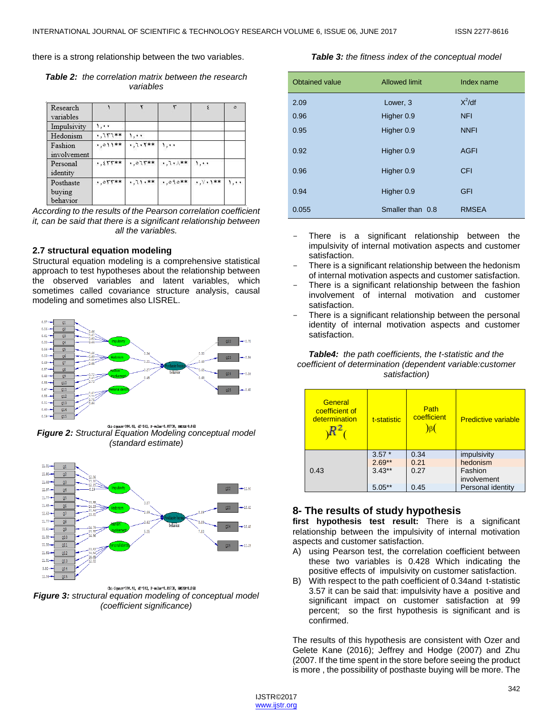there is a strong relationship between the two variables.

*Table 2: the correlation matrix between the research variables*

| Research<br>variables           |            |           | ٣             |                      | $\Delta$ |
|---------------------------------|------------|-----------|---------------|----------------------|----------|
| Impulsivity                     | 1.11       |           |               |                      |          |
| Hedonism                        | $,757**$   | 1.1.      |               |                      |          |
| Fashion<br>involvement          | $,011**$   | $,7.1***$ | 1.1.          |                      |          |
| Personal<br>identity            | $, 557***$ | *,075**   | $*, 7*, 1$ ** | 1.11                 |          |
| Posthaste<br>buying<br>behavior | $,055**$   | $*71.**$  | $*,090**$     | $, \forall$ , $\$ ** | 1, 11    |

*According to the results of the Pearson correlation coefficient it, can be said that there is a significant relationship between all the variables.*

#### **2.7 structural equation modeling**

Structural equation modeling is a comprehensive statistical approach to test hypotheses about the relationship between the observed variables and latent variables, which sometimes called covariance structure analysis, causal modeling and sometimes also LISREL.



*Figure 2: Structural Equation Modeling conceptual model (standard estimate)*



Chi-Square=394.48, df=142, P-value=0.05730, RMSEA=0.068 *Figure 3: structural equation modeling of conceptual model (coefficient significance)*

#### *Table 3: the fitness index of the conceptual model*

| Obtained value | <b>Allowed limit</b> | Index name   |
|----------------|----------------------|--------------|
| 2.09           | Lower, 3             | $X^2$ /df    |
| 0.96           | Higher 0.9           | <b>NFI</b>   |
| 0.95           | Higher 0.9           | <b>NNFI</b>  |
| 0.92           | Higher 0.9           | <b>AGFI</b>  |
| 0.96           | Higher 0.9           | <b>CFI</b>   |
| 0.94           | Higher 0.9           | <b>GFI</b>   |
| 0.055          | Smaller than 0.8     | <b>RMSEA</b> |

- There is a significant relationship between the impulsivity of internal motivation aspects and customer satisfaction.
- There is a significant relationship between the hedonism of internal motivation aspects and customer satisfaction.
- There is a significant relationship between the fashion involvement of internal motivation and customer satisfaction.
- There is a significant relationship between the personal identity of internal motivation aspects and customer satisfaction.

#### *Table4: the path coefficients, the t-statistic and the coefficient of determination (dependent variable:customer satisfaction)*

| General<br>coefficient of<br>determination | t-statistic | Path<br>coefficient | <b>Predictive variable</b> |
|--------------------------------------------|-------------|---------------------|----------------------------|
| 0.43                                       | $3.57*$     | 0.34                | impulsivity                |
|                                            | $2.69**$    | 0.21                | hedonism                   |
|                                            | $3.43**$    | 0.27                | Fashion                    |
|                                            |             |                     | involvement                |
|                                            | 5.05        | 0.45                | Personal identity          |

# **8- The results of study hypothesis**

**first hypothesis test result:** There is a significant relationship between the impulsivity of internal motivation aspects and customer satisfaction.

- A) using Pearson test, the correlation coefficient between these two variables is 0.428 Which indicating the positive effects of impulsivity on customer satisfaction.
- B) With respect to the path coefficient of 0.34and t-statistic 3.57 it can be said that: impulsivity have a positive and significant impact on customer satisfaction at 99 percent; so the first hypothesis is significant and is confirmed.

The results of this hypothesis are consistent with Ozer and Gelete Kane (2016); Jeffrey and Hodge (2007) and Zhu (2007. If the time spent in the store before seeing the product is more , the possibility of posthaste buying will be more. The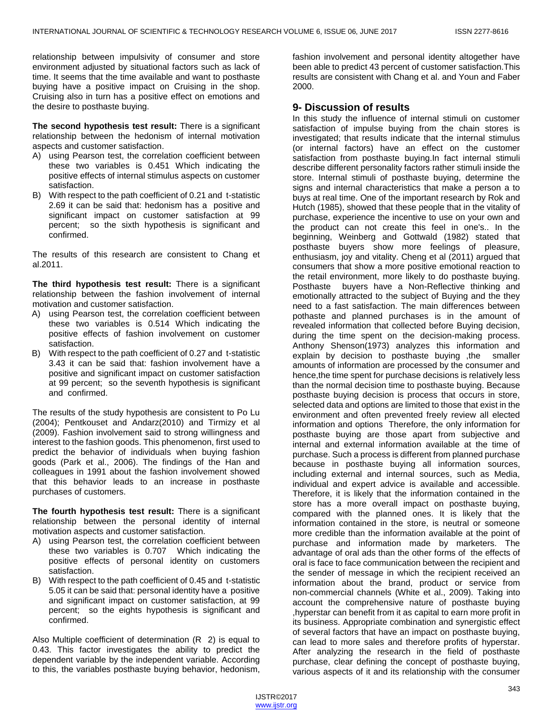relationship between impulsivity of consumer and store environment adjusted by situational factors such as lack of time. It seems that the time available and want to posthaste buying have a positive impact on Cruising in the shop. Cruising also in turn has a positive effect on emotions and the desire to posthaste buying.

**The second hypothesis test result:** There is a significant relationship between the hedonism of internal motivation aspects and customer satisfaction.

- A) using Pearson test, the correlation coefficient between these two variables is 0.451 Which indicating the positive effects of internal stimulus aspects on customer satisfaction.
- B) With respect to the path coefficient of 0.21 and t-statistic 2.69 it can be said that: hedonism has a positive and significant impact on customer satisfaction at 99 percent; so the sixth hypothesis is significant and confirmed.

The results of this research are consistent to Chang et al.2011.

**The third hypothesis test result:** There is a significant relationship between the fashion involvement of internal motivation and customer satisfaction.

- A) using Pearson test, the correlation coefficient between these two variables is 0.514 Which indicating the positive effects of fashion involvement on customer satisfaction.
- B) With respect to the path coefficient of 0.27 and t-statistic 3.43 it can be said that: fashion involvement have a positive and significant impact on customer satisfaction at 99 percent; so the seventh hypothesis is significant and confirmed.

The results of the study hypothesis are consistent to Po Lu (2004); Pentkouset and Andarz(2010) and Tirmizy et al (2009). Fashion involvement said to strong willingness and interest to the fashion goods. This phenomenon, first used to predict the behavior of individuals when buying fashion goods (Park et al., 2006). The findings of the Han and colleagues in 1991 about the fashion involvement showed that this behavior leads to an increase in posthaste purchases of customers.

**The fourth hypothesis test result:** There is a significant relationship between the personal identity of internal motivation aspects and customer satisfaction.

- A) using Pearson test, the correlation coefficient between these two variables is 0.707 Which indicating the positive effects of personal identity on customers satisfaction.
- B) With respect to the path coefficient of 0.45 and t-statistic 5.05 it can be said that: personal identity have a positive and significant impact on customer satisfaction, at 99 percent; so the eights hypothesis is significant and confirmed.

Also Multiple coefficient of determination (R 2) is equal to 0.43. This factor investigates the ability to predict the dependent variable by the independent variable. According to this, the variables posthaste buying behavior, hedonism, fashion involvement and personal identity altogether have been able to predict 43 percent of customer satisfaction.This results are consistent with Chang et al. and Youn and Faber 2000.

# **9- Discussion of results**

In this study the influence of internal stimuli on customer satisfaction of impulse buying from the chain stores is investigated; that results indicate that the internal stimulus (or internal factors) have an effect on the customer satisfaction from posthaste buying.In fact internal stimuli describe different personality factors rather stimuli inside the store. Internal stimuli of posthaste buying, determine the signs and internal characteristics that make a person a to buys at real time. One of the important research by Rok and Hutch (1985), showed that these people that in the vitality of purchase, experience the incentive to use on your own and the product can not create this feel in one's.. In the beginning, Weinberg and Gottwald (1982) stated that posthaste buyers show more feelings of pleasure, enthusiasm, joy and vitality. Cheng et al (2011) argued that consumers that show a more positive emotional reaction to the retail environment, more likely to do posthaste buying. Posthaste buyers have a Non-Reflective thinking and emotionally attracted to the subject of Buying and the they need to a fast satisfaction. The main differences between pothaste and planned purchases is in the amount of revealed information that collected before Buying decision, during the time spent on the decision-making process. Anthony Shenson(1973) analyzes this information and explain by decision to posthaste buying ,the smaller amounts of information are processed by the consumer and hence,the time spent for purchase decisions is relatively less than the normal decision time to posthaste buying. Because posthaste buying decision is process that occurs in store, selected data and options are limited to those that exist in the environment and often prevented freely review all elected information and options Therefore, the only information for posthaste buying are those apart from subjective and internal and external information available at the time of purchase. Such a process is different from planned purchase because in posthaste buying all information sources, including external and internal sources, such as Media, individual and expert advice is available and accessible. Therefore, it is likely that the information contained in the store has a more overall impact on posthaste buying, compared with the planned ones. It is likely that the information contained in the store, is neutral or someone more credible than the information available at the point of purchase and information made by marketers. The advantage of oral ads than the other forms of the effects of oral is face to face communication between the recipient and the sender of message in which the recipient received an information about the brand, product or service from non-commercial channels (White et al., 2009). Taking into account the comprehensive nature of posthaste buying ,hyperstar can benefit from it as capital to earn more profit in its business. Appropriate combination and synergistic effect of several factors that have an impact on posthaste buying, can lead to more sales and therefore profits of hyperstar. After analyzing the research in the field of posthaste purchase, clear defining the concept of posthaste buying, various aspects of it and its relationship with the consumer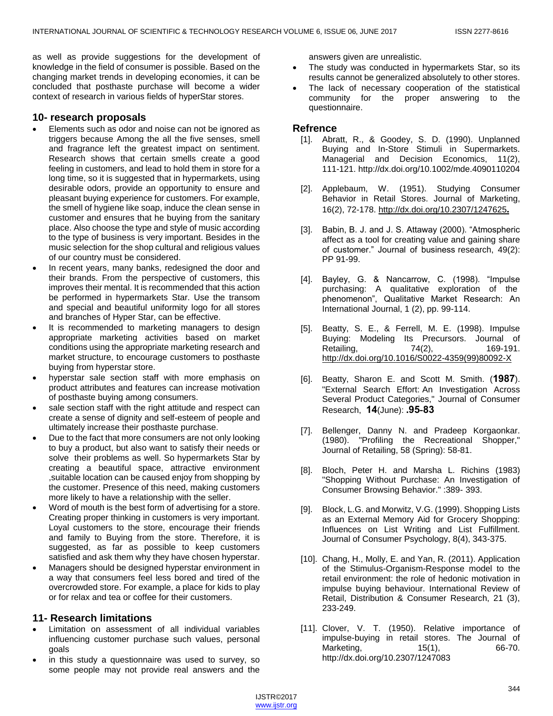as well as provide suggestions for the development of knowledge in the field of consumer is possible. Based on the changing market trends in developing economies, it can be concluded that posthaste purchase will become a wider context of research in various fields of hyperStar stores.

#### **10- research proposals**

- Elements such as odor and noise can not be ignored as triggers because Among the all the five senses, smell and fragrance left the greatest impact on sentiment. Research shows that certain smells create a good feeling in customers, and lead to hold them in store for a long time, so it is suggested that in hypermarkets, using desirable odors, provide an opportunity to ensure and pleasant buying experience for customers. For example, the smell of hygiene like soap, induce the clean sense in customer and ensures that he buying from the sanitary place. Also choose the type and style of music according to the type of business is very important. Besides in the music selection for the shop cultural and religious values of our country must be considered.
- In recent years, many banks, redesigned the door and their brands. From the perspective of customers, this improves their mental. It is recommended that this action be performed in hypermarkets Star. Use the transom and special and beautiful uniformity logo for all stores and branches of Hyper Star, can be effective.
- It is recommended to marketing managers to design appropriate marketing activities based on market conditions using the appropriate marketing research and market structure, to encourage customers to posthaste buying from hyperstar store.
- hyperstar sale section staff with more emphasis on product attributes and features can increase motivation of posthaste buying among consumers.
- sale section staff with the right attitude and respect can create a sense of dignity and self-esteem of people and ultimately increase their posthaste purchase.
- Due to the fact that more consumers are not only looking to buy a product, but also want to satisfy their needs or solve their problems as well. So hypermarkets Star by creating a beautiful space, attractive environment ,suitable location can be caused enjoy from shopping by the customer. Presence of this need, making customers more likely to have a relationship with the seller.
- Word of mouth is the best form of advertising for a store. Creating proper thinking in customers is very important. Loyal customers to the store, encourage their friends and family to Buying from the store. Therefore, it is suggested, as far as possible to keep customers satisfied and ask them why they have chosen hyperstar.
- Managers should be designed hyperstar environment in a way that consumers feel less bored and tired of the overcrowded store. For example, a place for kids to play or for relax and tea or coffee for their customers.

# **11- Research limitations**

- Limitation on assessment of all individual variables influencing customer purchase such values, personal goals
- in this study a questionnaire was used to survey, so some people may not provide real answers and the

answers given are unrealistic.

- The study was conducted in hypermarkets Star, so its results cannot be generalized absolutely to other stores.
- The lack of necessary cooperation of the statistical community for the proper answering to the questionnaire.

#### **Refrence**

- [1]. Abratt, R., & Goodey, S. D. (1990). Unplanned Buying and In-Store Stimuli in Supermarkets. Managerial and Decision Economics, 11(2), 111-121. http://dx.doi.org/10.1002/mde.4090110204
- [2]. Applebaum, W. (1951). Studying Consumer Behavior in Retail Stores. Journal of Marketing, 16(2), 72-178[.](http://dx.doi.org/10.2307/1247625) <http://dx.doi.org/10.2307/1247625>**.**
- [3]. Babin, B. J. and J. S. Attaway (2000). "Atmospheric affect as a tool for creating value and gaining share of customer." Journal of business research, 49(2): PP 91-99.
- [4]. Bayley, G. & Nancarrow, C. (1998). "Impulse purchasing: A qualitative exploration of the phenomenon", Qualitative Market Research: An International Journal, 1 (2), pp. 99-114.
- [5]. Beatty, S. E., & Ferrell, M. E. (1998). Impulse Buying: Modeling Its Precursors. Journal of Retailing, 74(2), 169-191. [http://dx.doi.org/10.1016/S0022-4359\(99\)80092-X](http://dx.doi.org/10.1016/S0022-4359(99)80092-X)
- [6]. Beatty, Sharon E. and Scott M. Smith. (**7891**). "External Search Effort: An Investigation Across Several Product Categories," Journal of Consumer Research, **71**(June): **.89-98**
- [7]. Bellenger, Danny N. and Pradeep Korgaonkar. (1980). "Profiling the Recreational Shopper," Journal of Retailing, 58 (Spring): 58-81.
- [8]. Bloch, Peter H. and Marsha L. Richins (1983) "Shopping Without Purchase: An Investigation of Consumer Browsing Behavior." :389- 393.
- [9]. Block, L.G. and Morwitz, V.G. (1999). Shopping Lists as an External Memory Aid for Grocery Shopping: Influences on List Writing and List Fulfillment. Journal of Consumer Psychology, 8(4), 343-375.
- [10]. Chang, H., Molly, E. and Yan, R. (2011). Application of the Stimulus-Organism-Response model to the retail environment: the role of hedonic motivation in impulse buying behaviour. International Review of Retail, Distribution & Consumer Research, 21 (3), 233-249.
- [11]. Clover, V. T. (1950). Relative importance of impulse-buying in retail stores. The Journal of Marketing, 15(1), 66-70. http://dx.doi.org/10.2307/1247083

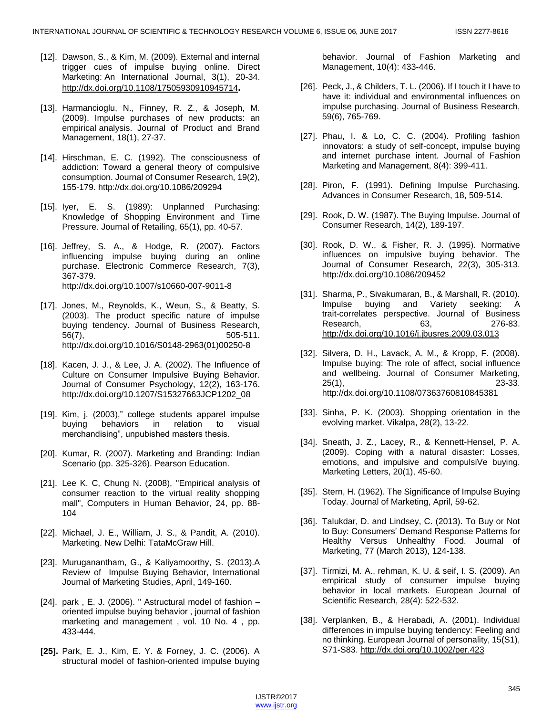- [12]. Dawson, S., & Kim, M. (2009). External and internal trigger cues of impulse buying online. Direct Marketing: An International Journal, 3(1), 20-34. <http://dx.doi.org/10.1108/17505930910945714>**.**
- [13]. Harmancioglu, N., Finney, R. Z., & Joseph, M. (2009). Impulse purchases of new products: an empirical analysis. Journal of Product and Brand Management, 18(1), 27-37.
- [14]. Hirschman, E. C. (1992). The consciousness of addiction: Toward a general theory of compulsive consumption. Journal of Consumer Research, 19(2), 155-179. http://dx.doi.org/10.1086/209294
- [15]. Iyer, E. S. (1989): Unplanned Purchasing: Knowledge of Shopping Environment and Time Pressure. Journal of Retailing, 65(1), pp. 40-57.
- [16]. Jeffrey, S. A., & Hodge, R. (2007). Factors influencing impulse buying during an online purchase. Electronic Commerce Research, 7(3), 367-379. http://dx.doi.org/10.1007/s10660-007-9011-8
- [17]. Jones, M., Reynolds, K., Weun, S., & Beatty, S. (2003). The product specific nature of impulse buying tendency. Journal of Business Research, 56(7), 505-511. http://dx.doi.org/10.1016/S0148-2963(01)00250-8
- [18]. Kacen, J. J., & Lee, J. A. (2002). The Influence of Culture on Consumer Impulsive Buying Behavior. Journal of Consumer Psychology, 12(2), 163-176. http://dx.doi.org/10.1207/S15327663JCP1202\_08
- [19]. Kim, j. (2003)," college students apparel impulse buying behaviors in relation to visual merchandising", unpubished masters thesis.
- [20]. Kumar, R. (2007). Marketing and Branding: Indian Scenario (pp. 325-326). Pearson Education.
- [21]. Lee K. C. Chung N. (2008), "Empirical analysis of consumer reaction to the virtual reality shopping mall", Computers in Human Behavior, 24, pp. 88- 104
- [22]. Michael, J. E., William, J. S., & Pandit, A. (2010). Marketing. New Delhi: TataMcGraw Hill.
- [23]. Muruganantham, G., & Kaliyamoorthy, S. (2013).A Review of Impulse Buying Behavior, International Journal of Marketing Studies, April, 149-160.
- [24]. park, E. J. (2006). " Astructural model of fashion  $$ oriented impulse buying behavior , journal of fashion marketing and management , vol. 10 No. 4 , pp. 433-444.
- **[25].** Park, E. J., Kim, E. Y. & Forney, J. C. (2006). A structural model of fashion-oriented impulse buying

behavior. Journal of Fashion Marketing and Management, 10(4): 433-446.

- [26]. Peck, J., & Childers, T. L. (2006). If I touch it I have to have it: individual and environmental influences on impulse purchasing. Journal of Business Research, 59(6), 765-769.
- [27]. Phau, I. & Lo, C. C. (2004). Profiling fashion innovators: a study of self-concept, impulse buying and internet purchase intent. Journal of Fashion Marketing and Management, 8(4): 399-411.
- [28]. Piron, F. (1991). Defining Impulse Purchasing. Advances in Consumer Research, 18, 509-514.
- [29]. Rook, D. W. (1987). The Buying Impulse. Journal of Consumer Research, 14(2), 189-197.
- [30]. Rook, D. W., & Fisher, R. J. (1995). Normative influences on impulsive buying behavior. The Journal of Consumer Research, 22(3), 305-313. http://dx.doi.org/10.1086/209452
- [31]. Sharma, P., Sivakumaran, B., & Marshall, R. (2010). Impulse buying and Variety seeking: A trait-correlates perspective. Journal of Business Research, 63, 276-83. <http://dx.doi.org/10.1016/j.jbusres.2009.03.013>
- [32]. Silvera, D. H., Lavack, A. M., & Kropp, F. (2008). Impulse buying: The role of affect, social influence and wellbeing. Journal of Consumer Marketing, 25(1), 23-33. http://dx.doi.org/10.1108/07363760810845381
- [33]. Sinha, P. K. (2003). Shopping orientation in the evolving market. Vikalpa, 28(2), 13-22.
- [34]. Sneath, J. Z., Lacey, R., & Kennett-Hensel, P. A. (2009). Coping with a natural disaster: Losses, emotions, and impulsive and compulsiVe buying. Marketing Letters, 20(1), 45-60.
- [35]. Stern, H. (1962). The Significance of Impulse Buying Today. Journal of Marketing, April, 59-62.
- [36]. Talukdar, D. and Lindsey, C. (2013). To Buy or Not to Buy: Consumers' Demand Response Patterns for Healthy Versus Unhealthy Food. Journal of Marketing, 77 (March 2013), 124-138.
- [37]. Tirmizi, M. A., rehman, K. U. & seif, I. S. (2009). An empirical study of consumer impulse buying behavior in local markets. European Journal of Scientific Research, 28(4): 522-532.
- [38]. Verplanken, B., & Herabadi, A. (2001). Individual differences in impulse buying tendency: Feeling and no thinking. European Journal of personality, 15(S1), S71-S83.<http://dx.doi.org/10.1002/per.423>